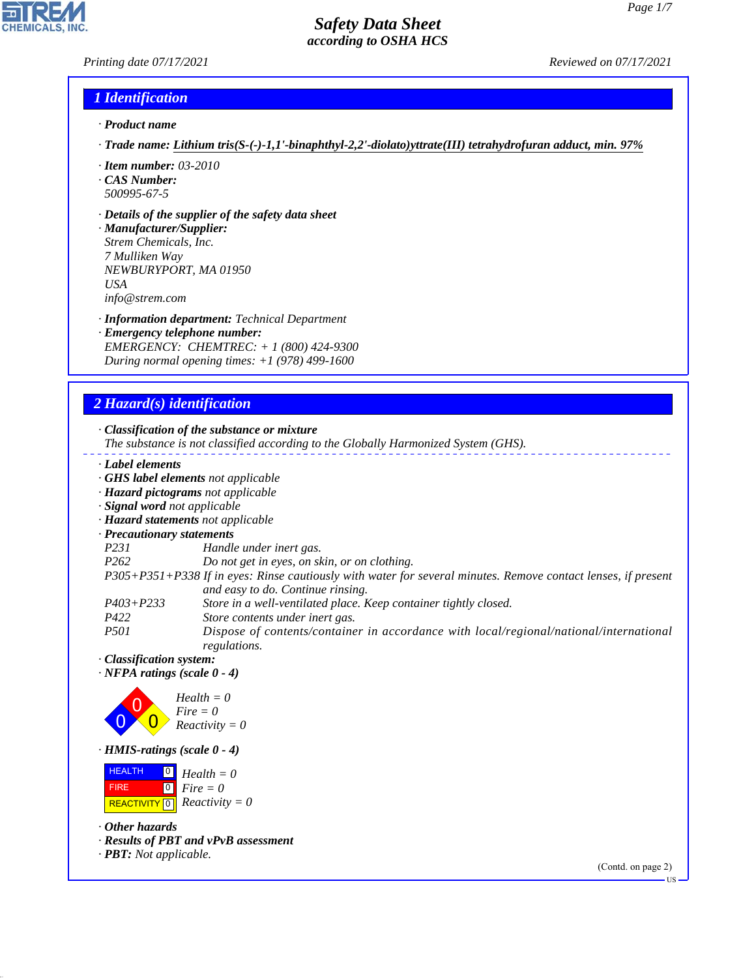## *Printing date 07/17/2021 Reviewed on 07/17/2021*

## *1 Identification*

- *· Product name*
- *· Trade name: Lithium tris(S-(-)-1,1'-binaphthyl-2,2'-diolato)yttrate(III) tetrahydrofuran adduct, min. 97%*
- *· Item number: 03-2010*
- *· CAS Number: 500995-67-5*
- *· Details of the supplier of the safety data sheet*

*· Manufacturer/Supplier: Strem Chemicals, Inc. 7 Mulliken Way NEWBURYPORT, MA 01950 USA info@strem.com*

*· Information department: Technical Department*

*· Emergency telephone number: EMERGENCY: CHEMTREC: + 1 (800) 424-9300 During normal opening times: +1 (978) 499-1600*

## *2 Hazard(s) identification*

*· Classification of the substance or mixture*

*The substance is not classified according to the Globally Harmonized System (GHS).*

- *· Label elements*
- *· GHS label elements not applicable*
- *· Hazard pictograms not applicable*
- *· Signal word not applicable*
- *· Hazard statements not applicable*
- *· Precautionary statements*
- *P231 Handle under inert gas.*
- *P262 Do not get in eyes, on skin, or on clothing.*
- *P305+P351+P338 If in eyes: Rinse cautiously with water for several minutes. Remove contact lenses, if present and easy to do. Continue rinsing.*
- *P403+P233 Store in a well-ventilated place. Keep container tightly closed.*
- *P422 Store contents under inert gas.*

*P501 Dispose of contents/container in accordance with local/regional/national/international regulations.*

*· Classification system:*

*· NFPA ratings (scale 0 - 4)*



*· HMIS-ratings (scale 0 - 4)*

 HEALTH FIRE  $\boxed{\text{REACTIVITY} \boxed{0}}$  Reactivity = 0  $\boxed{0}$  $\boxed{0}$ *Health = 0 Fire = 0*

*· Other hazards*

44.1.1

- *· Results of PBT and vPvB assessment*
- *· PBT: Not applicable.*

(Contd. on page 2)

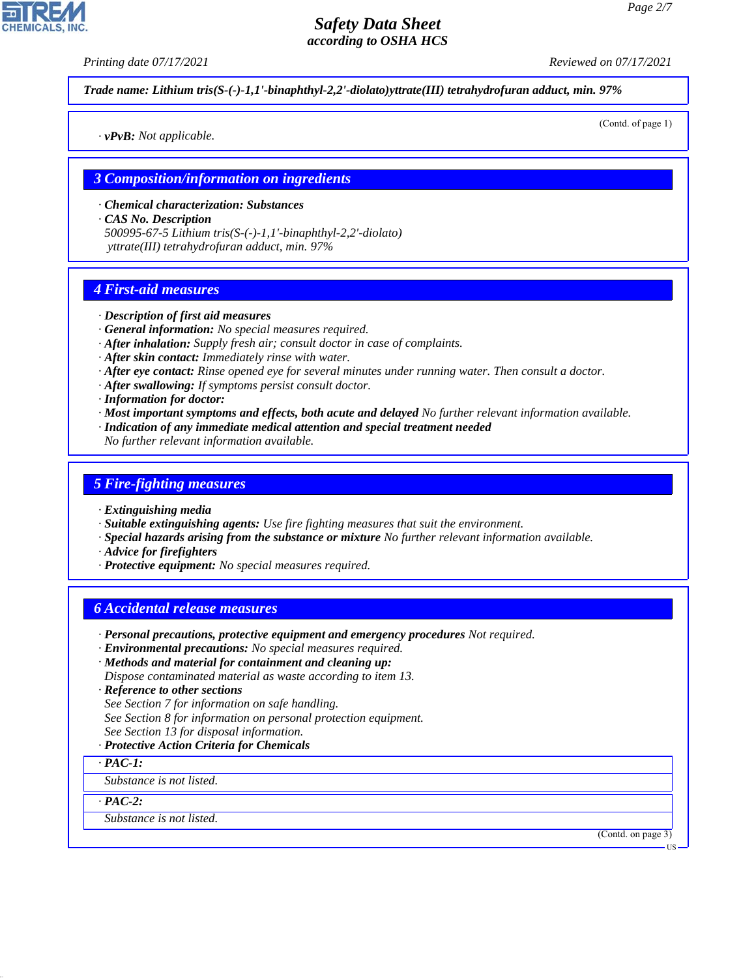*Printing date 07/17/2021 Reviewed on 07/17/2021*

*Trade name: Lithium tris(S-(-)-1,1'-binaphthyl-2,2'-diolato)yttrate(III) tetrahydrofuran adduct, min. 97%*

*· vPvB: Not applicable.*

(Contd. of page 1)

### *3 Composition/information on ingredients*

- *· Chemical characterization: Substances*
- *· CAS No. Description 500995-67-5 Lithium tris(S-(-)-1,1'-binaphthyl-2,2'-diolato) yttrate(III) tetrahydrofuran adduct, min. 97%*

## *4 First-aid measures*

#### *· Description of first aid measures*

- *· General information: No special measures required.*
- *· After inhalation: Supply fresh air; consult doctor in case of complaints.*
- *· After skin contact: Immediately rinse with water.*
- *· After eye contact: Rinse opened eye for several minutes under running water. Then consult a doctor.*
- *· After swallowing: If symptoms persist consult doctor.*
- *· Information for doctor:*
- *· Most important symptoms and effects, both acute and delayed No further relevant information available.*
- *· Indication of any immediate medical attention and special treatment needed*
- *No further relevant information available.*

## *5 Fire-fighting measures*

- *· Extinguishing media*
- *· Suitable extinguishing agents: Use fire fighting measures that suit the environment.*
- *· Special hazards arising from the substance or mixture No further relevant information available.*
- *· Advice for firefighters*
- *· Protective equipment: No special measures required.*

## *6 Accidental release measures*

- *· Personal precautions, protective equipment and emergency procedures Not required.*
- *· Environmental precautions: No special measures required.*
- *· Methods and material for containment and cleaning up: Dispose contaminated material as waste according to item 13.*
- *· Reference to other sections*
- *See Section 7 for information on safe handling.*
- *See Section 8 for information on personal protection equipment.*
- *See Section 13 for disposal information.*
- *· Protective Action Criteria for Chemicals*
- *· PAC-1:*

*Substance is not listed.*

*· PAC-2:*

44.1.1

*Substance is not listed.*

(Contd. on page 3)

US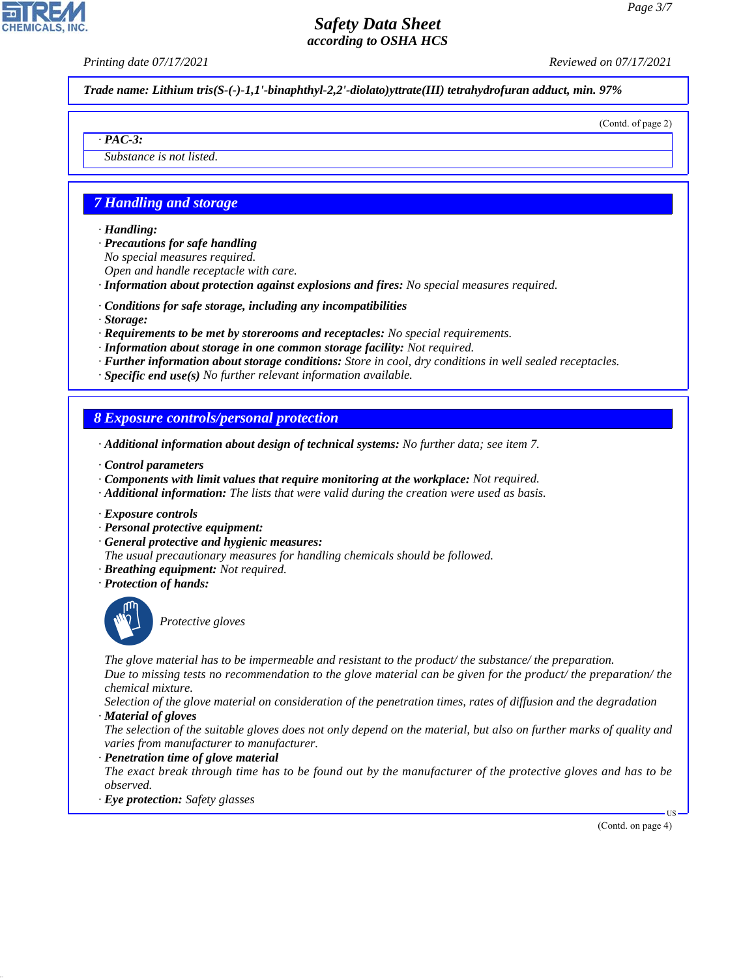*Printing date 07/17/2021 Reviewed on 07/17/2021*

*Trade name: Lithium tris(S-(-)-1,1'-binaphthyl-2,2'-diolato)yttrate(III) tetrahydrofuran adduct, min. 97%*

(Contd. of page 2)

*Substance is not listed.*

## *7 Handling and storage*

#### *· Handling:*

*· PAC-3:*

*· Precautions for safe handling No special measures required. Open and handle receptacle with care.*

*· Information about protection against explosions and fires: No special measures required.*

- *· Conditions for safe storage, including any incompatibilities*
- *· Storage:*
- *· Requirements to be met by storerooms and receptacles: No special requirements.*
- *· Information about storage in one common storage facility: Not required.*
- *· Further information about storage conditions: Store in cool, dry conditions in well sealed receptacles.*
- *· Specific end use(s) No further relevant information available.*

## *8 Exposure controls/personal protection*

- *· Additional information about design of technical systems: No further data; see item 7.*
- *· Control parameters*
- *· Components with limit values that require monitoring at the workplace: Not required.*
- *· Additional information: The lists that were valid during the creation were used as basis.*
- *· Exposure controls*
- *· Personal protective equipment:*
- *· General protective and hygienic measures:*
- *The usual precautionary measures for handling chemicals should be followed.*
- *· Breathing equipment: Not required.*
- *· Protection of hands:*



44.1.1

\_S*Protective gloves*

*The glove material has to be impermeable and resistant to the product/ the substance/ the preparation. Due to missing tests no recommendation to the glove material can be given for the product/ the preparation/ the chemical mixture.*

*Selection of the glove material on consideration of the penetration times, rates of diffusion and the degradation · Material of gloves*

- *The selection of the suitable gloves does not only depend on the material, but also on further marks of quality and varies from manufacturer to manufacturer.*
- *· Penetration time of glove material*
- *The exact break through time has to be found out by the manufacturer of the protective gloves and has to be observed.*
- *· Eye protection: Safety glasses*

(Contd. on page 4)

**HS**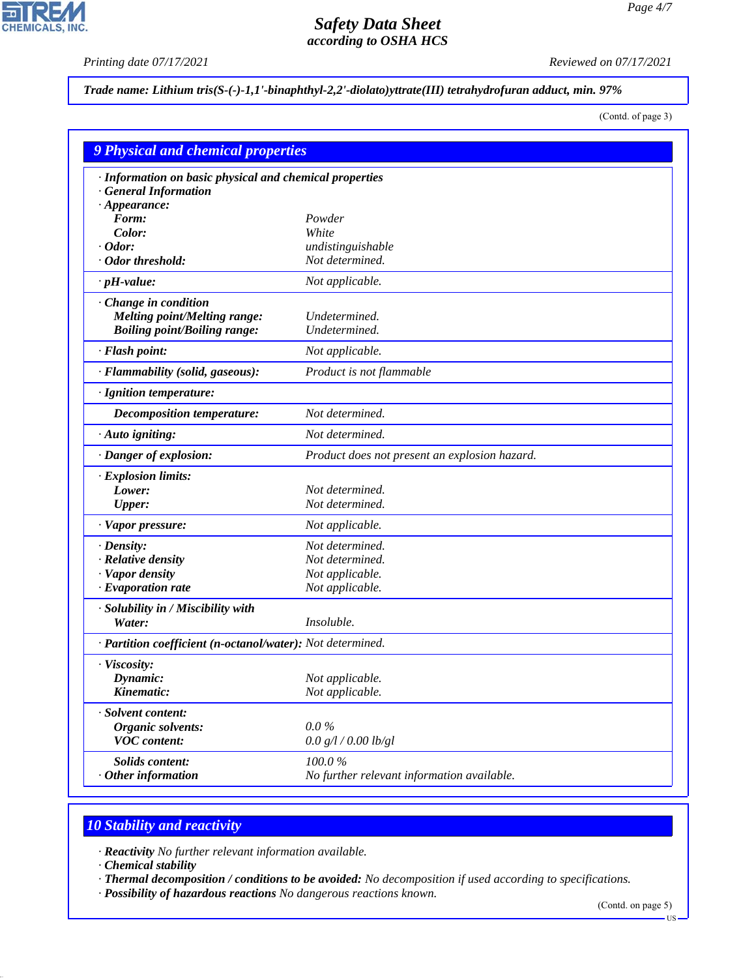$\overline{\mathbf{r}}$ 

**CHEMICALS, INC.** 

*Printing date 07/17/2021 Reviewed on 07/17/2021*

*Trade name: Lithium tris(S-(-)-1,1'-binaphthyl-2,2'-diolato)yttrate(III) tetrahydrofuran adduct, min. 97%*

(Contd. of page 3)

|                                                                                  | <b>9 Physical and chemical properties</b>     |  |  |
|----------------------------------------------------------------------------------|-----------------------------------------------|--|--|
| · Information on basic physical and chemical properties<br>· General Information |                                               |  |  |
| $\cdot$ Appearance:                                                              |                                               |  |  |
| Form:                                                                            | Powder                                        |  |  |
| Color:                                                                           | White                                         |  |  |
| Odor:                                                                            | undistinguishable                             |  |  |
| · Odor threshold:                                                                | Not determined.                               |  |  |
| $\cdot$ pH-value:                                                                | Not applicable.                               |  |  |
| $\cdot$ Change in condition                                                      |                                               |  |  |
| <b>Melting point/Melting range:</b>                                              | Undetermined.                                 |  |  |
| <b>Boiling point/Boiling range:</b>                                              | Undetermined.                                 |  |  |
| · Flash point:                                                                   | Not applicable.                               |  |  |
| · Flammability (solid, gaseous):                                                 | Product is not flammable                      |  |  |
| · Ignition temperature:                                                          |                                               |  |  |
| <b>Decomposition temperature:</b>                                                | Not determined.                               |  |  |
| $\cdot$ Auto igniting:                                                           | Not determined.                               |  |  |
| · Danger of explosion:                                                           | Product does not present an explosion hazard. |  |  |
| $\cdot$ Explosion limits:                                                        |                                               |  |  |
| Lower:                                                                           | Not determined.                               |  |  |
| <b>Upper:</b>                                                                    | Not determined.                               |  |  |
| · Vapor pressure:                                                                | Not applicable.                               |  |  |
| $\cdot$ Density:                                                                 | Not determined.                               |  |  |
| · Relative density                                                               | Not determined.                               |  |  |
| · Vapor density                                                                  | Not applicable.                               |  |  |
| $\cdot$ Evaporation rate                                                         | Not applicable.                               |  |  |
| · Solubility in / Miscibility with                                               |                                               |  |  |
| Water:                                                                           | Insoluble.                                    |  |  |
| · Partition coefficient (n-octanol/water): Not determined.                       |                                               |  |  |
| · Viscosity:                                                                     |                                               |  |  |
| Dynamic:                                                                         | Not applicable.                               |  |  |
| Kinematic:                                                                       | Not applicable.                               |  |  |
| · Solvent content:                                                               |                                               |  |  |
| Organic solvents:                                                                | $0.0\%$                                       |  |  |
| <b>VOC</b> content:                                                              | 0.0 g/l / 0.00 lb/gl                          |  |  |
| <b>Solids content:</b>                                                           | 100.0%                                        |  |  |
| $\cdot$ Other information                                                        | No further relevant information available.    |  |  |

# *10 Stability and reactivity*

*· Reactivity No further relevant information available.*

*· Chemical stability*

44.1.1

*· Thermal decomposition / conditions to be avoided: No decomposition if used according to specifications.*

*· Possibility of hazardous reactions No dangerous reactions known.*

(Contd. on page 5)

 $-US$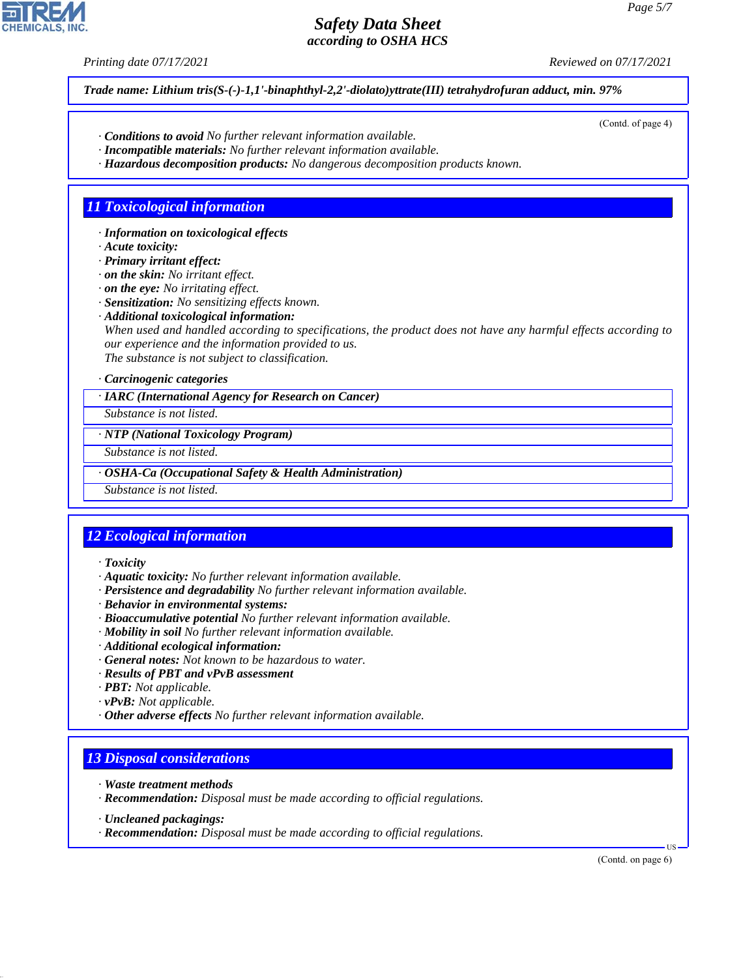*Printing date 07/17/2021 Reviewed on 07/17/2021*

*Trade name: Lithium tris(S-(-)-1,1'-binaphthyl-2,2'-diolato)yttrate(III) tetrahydrofuran adduct, min. 97%*

- *· Conditions to avoid No further relevant information available.*
- *· Incompatible materials: No further relevant information available.*
- *· Hazardous decomposition products: No dangerous decomposition products known.*

## *11 Toxicological information*

*· Information on toxicological effects*

*· Acute toxicity:*

*· Primary irritant effect:*

*· on the skin: No irritant effect.*

*· on the eye: No irritating effect.*

*· Sensitization: No sensitizing effects known.*

*· Additional toxicological information:*

*When used and handled according to specifications, the product does not have any harmful effects according to our experience and the information provided to us.*

*The substance is not subject to classification.*

### *· Carcinogenic categories*

*· IARC (International Agency for Research on Cancer)*

*Substance is not listed.*

*· NTP (National Toxicology Program)*

*Substance is not listed.*

*· OSHA-Ca (Occupational Safety & Health Administration)*

*Substance is not listed.*

## *12 Ecological information*

*· Toxicity*

- *· Aquatic toxicity: No further relevant information available.*
- *· Persistence and degradability No further relevant information available.*
- *· Behavior in environmental systems:*
- *· Bioaccumulative potential No further relevant information available.*
- *· Mobility in soil No further relevant information available.*
- *· Additional ecological information:*
- *· General notes: Not known to be hazardous to water.*
- *· Results of PBT and vPvB assessment*
- *· PBT: Not applicable.*
- *· vPvB: Not applicable.*
- *· Other adverse effects No further relevant information available.*

## *13 Disposal considerations*

- *· Waste treatment methods*
- *· Recommendation: Disposal must be made according to official regulations.*
- *· Uncleaned packagings:*

44.1.1

*· Recommendation: Disposal must be made according to official regulations.*

(Contd. on page 6)

US

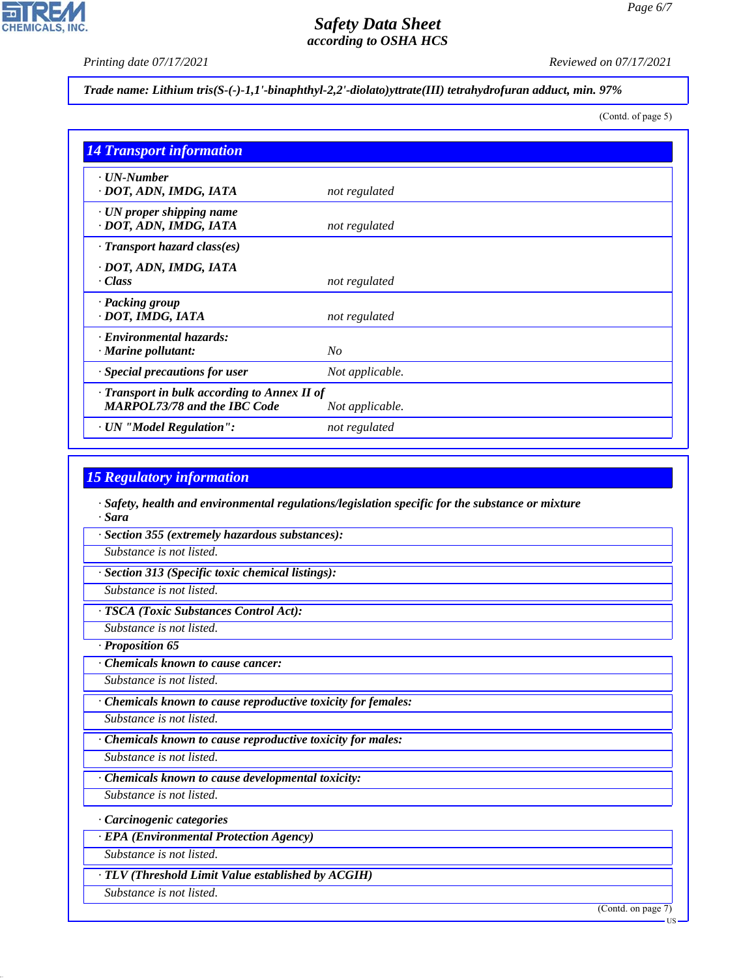

*Page 6/7*

*Printing date 07/17/2021 Reviewed on 07/17/2021*

*Trade name: Lithium tris(S-(-)-1,1'-binaphthyl-2,2'-diolato)yttrate(III) tetrahydrofuran adduct, min. 97%*

(Contd. of page 5)

| <b>14 Transport information</b>                                                     |                 |
|-------------------------------------------------------------------------------------|-----------------|
| $\cdot$ UN-Number<br>· DOT, ADN, IMDG, IATA                                         | not regulated   |
| $\cdot$ UN proper shipping name<br>· DOT, ADN, IMDG, IATA                           | not regulated   |
| $\cdot$ Transport hazard class(es)                                                  |                 |
| · DOT, ADN, IMDG, IATA<br>$\cdot$ Class                                             | not regulated   |
| · Packing group<br>· DOT, IMDG, IATA                                                | not regulated   |
| · Environmental hazards:<br>$\cdot$ Marine pollutant:                               | No              |
| · Special precautions for user                                                      | Not applicable. |
| · Transport in bulk according to Annex II of<br><b>MARPOL73/78 and the IBC Code</b> | Not applicable. |
| · UN "Model Regulation":                                                            | not regulated   |

## *15 Regulatory information*

*· Safety, health and environmental regulations/legislation specific for the substance or mixture · Sara*

*· Section 355 (extremely hazardous substances):*

*Substance is not listed.*

*· Section 313 (Specific toxic chemical listings):*

*Substance is not listed.*

*· TSCA (Toxic Substances Control Act):*

*Substance is not listed.*

*· Proposition 65*

*· Chemicals known to cause cancer:*

*Substance is not listed.*

*· Chemicals known to cause reproductive toxicity for females:*

*Substance is not listed.*

*· Chemicals known to cause reproductive toxicity for males:*

*Substance is not listed.*

*· Chemicals known to cause developmental toxicity:*

*Substance is not listed.*

*· Carcinogenic categories*

*· EPA (Environmental Protection Agency)*

*Substance is not listed.*

*· TLV (Threshold Limit Value established by ACGIH)*

*Substance is not listed.*

44.1.1

(Contd. on page 7)

US